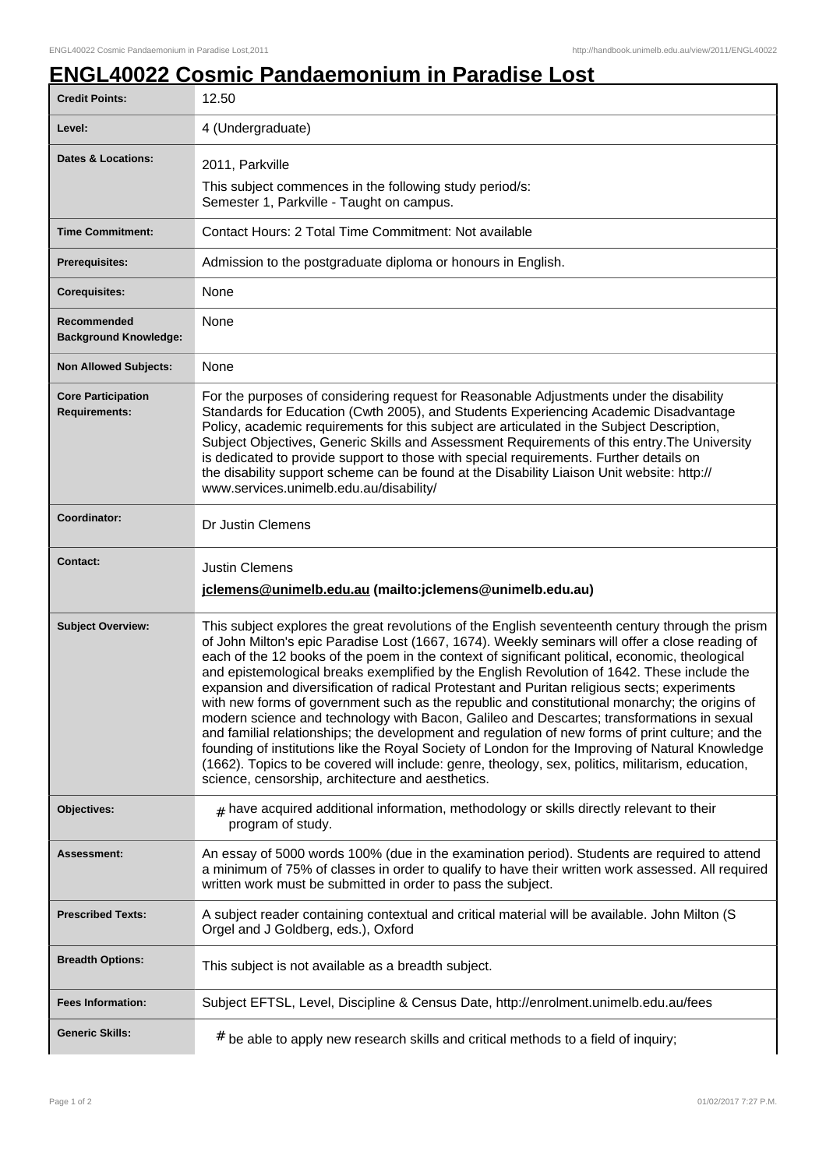## **ENGL40022 Cosmic Pandaemonium in Paradise Lost**

| <b>Credit Points:</b>                             | 12.50                                                                                                                                                                                                                                                                                                                                                                                                                                                                                                                                                                                                                                                                                                                                                                                                                                                                                                                                                                                                                                                                   |
|---------------------------------------------------|-------------------------------------------------------------------------------------------------------------------------------------------------------------------------------------------------------------------------------------------------------------------------------------------------------------------------------------------------------------------------------------------------------------------------------------------------------------------------------------------------------------------------------------------------------------------------------------------------------------------------------------------------------------------------------------------------------------------------------------------------------------------------------------------------------------------------------------------------------------------------------------------------------------------------------------------------------------------------------------------------------------------------------------------------------------------------|
| Level:                                            | 4 (Undergraduate)                                                                                                                                                                                                                                                                                                                                                                                                                                                                                                                                                                                                                                                                                                                                                                                                                                                                                                                                                                                                                                                       |
| <b>Dates &amp; Locations:</b>                     | 2011, Parkville<br>This subject commences in the following study period/s:<br>Semester 1, Parkville - Taught on campus.                                                                                                                                                                                                                                                                                                                                                                                                                                                                                                                                                                                                                                                                                                                                                                                                                                                                                                                                                 |
| <b>Time Commitment:</b>                           | Contact Hours: 2 Total Time Commitment: Not available                                                                                                                                                                                                                                                                                                                                                                                                                                                                                                                                                                                                                                                                                                                                                                                                                                                                                                                                                                                                                   |
| Prerequisites:                                    | Admission to the postgraduate diploma or honours in English.                                                                                                                                                                                                                                                                                                                                                                                                                                                                                                                                                                                                                                                                                                                                                                                                                                                                                                                                                                                                            |
| <b>Corequisites:</b>                              | None                                                                                                                                                                                                                                                                                                                                                                                                                                                                                                                                                                                                                                                                                                                                                                                                                                                                                                                                                                                                                                                                    |
| Recommended<br><b>Background Knowledge:</b>       | None                                                                                                                                                                                                                                                                                                                                                                                                                                                                                                                                                                                                                                                                                                                                                                                                                                                                                                                                                                                                                                                                    |
| <b>Non Allowed Subjects:</b>                      | None                                                                                                                                                                                                                                                                                                                                                                                                                                                                                                                                                                                                                                                                                                                                                                                                                                                                                                                                                                                                                                                                    |
| <b>Core Participation</b><br><b>Requirements:</b> | For the purposes of considering request for Reasonable Adjustments under the disability<br>Standards for Education (Cwth 2005), and Students Experiencing Academic Disadvantage<br>Policy, academic requirements for this subject are articulated in the Subject Description,<br>Subject Objectives, Generic Skills and Assessment Requirements of this entry. The University<br>is dedicated to provide support to those with special requirements. Further details on<br>the disability support scheme can be found at the Disability Liaison Unit website: http://<br>www.services.unimelb.edu.au/disability/                                                                                                                                                                                                                                                                                                                                                                                                                                                        |
| <b>Coordinator:</b>                               | Dr Justin Clemens                                                                                                                                                                                                                                                                                                                                                                                                                                                                                                                                                                                                                                                                                                                                                                                                                                                                                                                                                                                                                                                       |
| <b>Contact:</b>                                   | <b>Justin Clemens</b>                                                                                                                                                                                                                                                                                                                                                                                                                                                                                                                                                                                                                                                                                                                                                                                                                                                                                                                                                                                                                                                   |
|                                                   | jclemens@unimelb.edu.au (mailto: jclemens@unimelb.edu.au)                                                                                                                                                                                                                                                                                                                                                                                                                                                                                                                                                                                                                                                                                                                                                                                                                                                                                                                                                                                                               |
| <b>Subject Overview:</b>                          | This subject explores the great revolutions of the English seventeenth century through the prism<br>of John Milton's epic Paradise Lost (1667, 1674). Weekly seminars will offer a close reading of<br>each of the 12 books of the poem in the context of significant political, economic, theological<br>and epistemological breaks exemplified by the English Revolution of 1642. These include the<br>expansion and diversification of radical Protestant and Puritan religious sects; experiments<br>with new forms of government such as the republic and constitutional monarchy; the origins of<br>modern science and technology with Bacon, Galileo and Descartes; transformations in sexual<br>and familial relationships; the development and regulation of new forms of print culture; and the<br>founding of institutions like the Royal Society of London for the Improving of Natural Knowledge<br>(1662). Topics to be covered will include: genre, theology, sex, politics, militarism, education,<br>science, censorship, architecture and aesthetics. |
| Objectives:                                       | $*$ have acquired additional information, methodology or skills directly relevant to their<br>program of study.                                                                                                                                                                                                                                                                                                                                                                                                                                                                                                                                                                                                                                                                                                                                                                                                                                                                                                                                                         |
| <b>Assessment:</b>                                | An essay of 5000 words 100% (due in the examination period). Students are required to attend<br>a minimum of 75% of classes in order to qualify to have their written work assessed. All required<br>written work must be submitted in order to pass the subject.                                                                                                                                                                                                                                                                                                                                                                                                                                                                                                                                                                                                                                                                                                                                                                                                       |
| <b>Prescribed Texts:</b>                          | A subject reader containing contextual and critical material will be available. John Milton (S)<br>Orgel and J Goldberg, eds.), Oxford                                                                                                                                                                                                                                                                                                                                                                                                                                                                                                                                                                                                                                                                                                                                                                                                                                                                                                                                  |
| <b>Breadth Options:</b>                           | This subject is not available as a breadth subject.                                                                                                                                                                                                                                                                                                                                                                                                                                                                                                                                                                                                                                                                                                                                                                                                                                                                                                                                                                                                                     |
| <b>Fees Information:</b>                          | Subject EFTSL, Level, Discipline & Census Date, http://enrolment.unimelb.edu.au/fees                                                                                                                                                                                                                                                                                                                                                                                                                                                                                                                                                                                                                                                                                                                                                                                                                                                                                                                                                                                    |